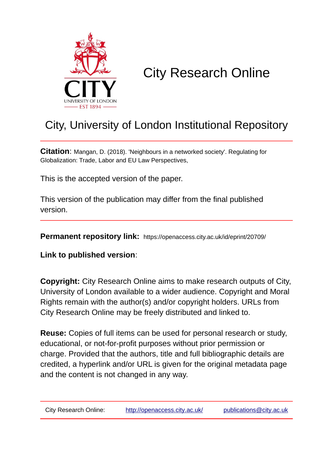

# City Research Online

### City, University of London Institutional Repository

**Citation**: Mangan, D. (2018). 'Neighbours in a networked society'. Regulating for Globalization: Trade, Labor and EU Law Perspectives,

This is the accepted version of the paper.

This version of the publication may differ from the final published version.

**Permanent repository link:** https://openaccess.city.ac.uk/id/eprint/20709/

**Link to published version**:

**Copyright:** City Research Online aims to make research outputs of City, University of London available to a wider audience. Copyright and Moral Rights remain with the author(s) and/or copyright holders. URLs from City Research Online may be freely distributed and linked to.

**Reuse:** Copies of full items can be used for personal research or study, educational, or not-for-profit purposes without prior permission or charge. Provided that the authors, title and full bibliographic details are credited, a hyperlink and/or URL is given for the original metadata page and the content is not changed in any way.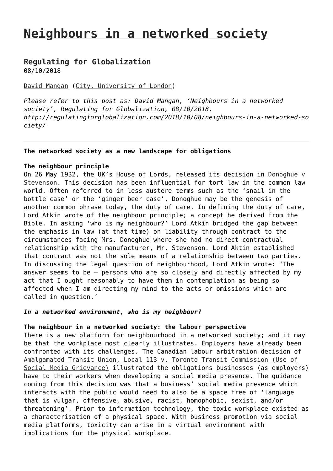## **[Neighbours in a networked society](http://regulatingforglobalization.com/2018/10/08/neighbours-in-a-networked-society/)**

### **[Regulating for Globalization](http://regulatingforglobalization.com)**

08/10/2018

#### [David Mangan](http://regulatingforglobalization.com/author/davidmangan01/) [\(City, University of London](http://www.city.ac.uk/people/academics/david-mangan))

*Please refer to this post as: David Mangan, 'Neighbours in a networked society', Regulating for Globalization, 08/10/2018, http://regulatingforglobalization.com/2018/10/08/neighbours-in-a-networked-so ciety/*

#### **The networked society as a new landscape for obligations**

#### **The neighbour principle**

On 26 May 1932, the UK's House of Lords, released its decision in [Donoghue v](http://www.bailii.org/uk/cases/UKHL/1932/100.html) [Stevenson](http://www.bailii.org/uk/cases/UKHL/1932/100.html). This decision has been influential for tort law in the common law world. Often referred to in less austere terms such as the 'snail in the bottle case' or the 'ginger beer case', Donoghue may be the genesis of another common phrase today, the duty of care. In defining the duty of care, Lord Atkin wrote of the neighbour principle; a concept he derived from the Bible. In asking 'who is my neighbour?' Lord Atkin bridged the gap between the emphasis in law (at that time) on liability through contract to the circumstances facing Mrs. Donoghue where she had no direct contractual relationship with the manufacturer, Mr. Stevenson. Lord Aktin established that contract was not the sole means of a relationship between two parties. In discussing the legal question of neighbourhood, Lord Atkin wrote: 'The answer seems to be — persons who are so closely and directly affected by my act that I ought reasonably to have them in contemplation as being so affected when I am directing my mind to the acts or omissions which are called in question.'

#### *In a networked environment, who is my neighbour?*

#### **The neighbour in a networked society: the labour perspective**

There is a new platform for neighbourhood in a networked society; and it may be that the workplace most clearly illustrates. Employers have already been confronted with its challenges. The Canadian labour arbitration decision of [Amalgamated Transit Union, Local 113 v. Toronto Transit Commission \(Use of](https://www.cbc.ca/news/canada/employers-social-media-harassment-1.3700334) [Social Media Grievance\)](https://www.cbc.ca/news/canada/employers-social-media-harassment-1.3700334) illustrated the obligations businesses (as employers) have to their workers when developing a social media presence. The guidance coming from this decision was that a business' social media presence which interacts with the public would need to also be a space free of 'language that is vulgar, offensive, abusive, racist, homophobic, sexist, and/or threatening'. Prior to information technology, the toxic workplace existed as a characterisation of a physical space. With business promotion via social media platforms, toxicity can arise in a virtual environment with implications for the physical workplace.